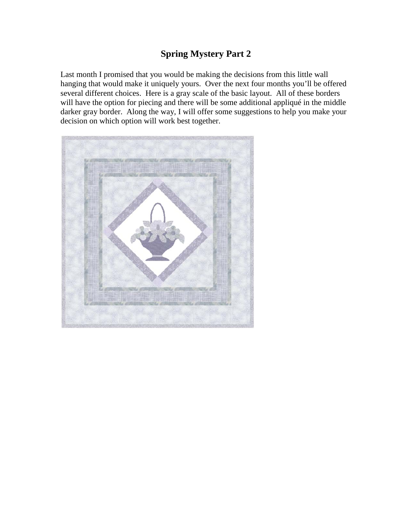# **Spring Mystery Part 2**

Last month I promised that you would be making the decisions from this little wall hanging that would make it uniquely yours. Over the next four months you'll be offered several different choices. Here is a gray scale of the basic layout. All of these borders will have the option for piecing and there will be some additional appliqué in the middle darker gray border. Along the way, I will offer some suggestions to help you make your decision on which option will work best together.

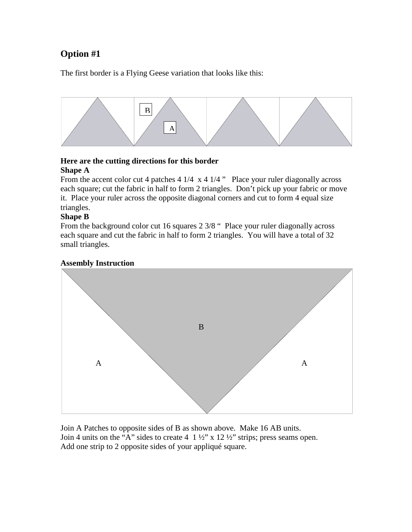# **Option #1**

The first border is a Flying Geese variation that looks like this:



#### **Here are the cutting directions for this border Shape A**

From the accent color cut 4 patches 4 1/4 x 4 1/4 " Place your ruler diagonally across each square; cut the fabric in half to form 2 triangles. Don't pick up your fabric or move it. Place your ruler across the opposite diagonal corners and cut to form 4 equal size triangles.

## **Shape B**

From the background color cut 16 squares 2 3/8 " Place your ruler diagonally across each square and cut the fabric in half to form 2 triangles. You will have a total of 32 small triangles.

## **Assembly Instruction**



Join A Patches to opposite sides of B as shown above. Make 16 AB units. Join 4 units on the "A" sides to create  $4 \frac{1}{2}$ " x  $12\frac{1}{2}$ " strips; press seams open. Add one strip to 2 opposite sides of your appliqué square.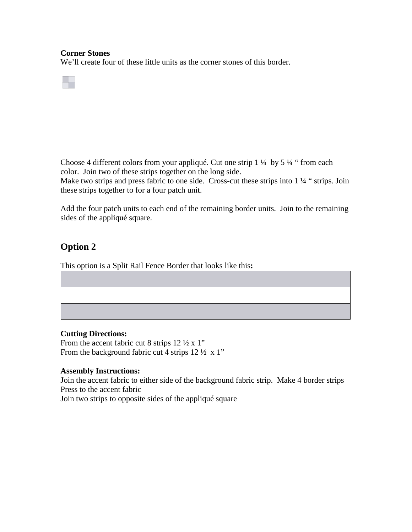#### **Corner Stones**

We'll create four of these little units as the corner stones of this border.

Choose 4 different colors from your appliqué. Cut one strip 1 ¼ by 5 ¼ " from each color. Join two of these strips together on the long side.

Make two strips and press fabric to one side. Cross-cut these strips into 1 1/4 " strips. Join these strips together to for a four patch unit.

Add the four patch units to each end of the remaining border units. Join to the remaining sides of the appliqué square.

## **Option 2**

This option is a Split Rail Fence Border that looks like this**:**

#### **Cutting Directions:**

From the accent fabric cut 8 strips  $12 \frac{1}{2} \times 1$ " From the background fabric cut 4 strips  $12 \frac{1}{2} \times 1$ "

#### **Assembly Instructions:**

Join the accent fabric to either side of the background fabric strip. Make 4 border strips Press to the accent fabric Join two strips to opposite sides of the appliqué square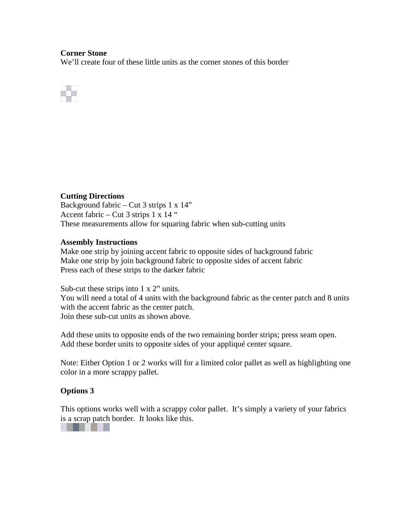#### **Corner Stone**

We'll create four of these little units as the corner stones of this border



## **Cutting Directions**

Background fabric – Cut 3 strips  $1 \times 14$ " Accent fabric – Cut 3 strips 1 x 14 " These measurements allow for squaring fabric when sub-cutting units

#### **Assembly Instructions**

Make one strip by joining accent fabric to opposite sides of background fabric Make one strip by join background fabric to opposite sides of accent fabric Press each of these strips to the darker fabric

Sub-cut these strips into 1 x 2" units. You will need a total of 4 units with the background fabric as the center patch and 8 units with the accent fabric as the center patch. Join these sub-cut units as shown above.

Add these units to opposite ends of the two remaining border strips; press seam open. Add these border units to opposite sides of your appliqué center square.

Note: Either Option 1 or 2 works will for a limited color pallet as well as highlighting one color in a more scrappy pallet.

## **Options 3**

This options works well with a scrappy color pallet. It's simply a variety of your fabrics is a scrap patch border. It looks like this.